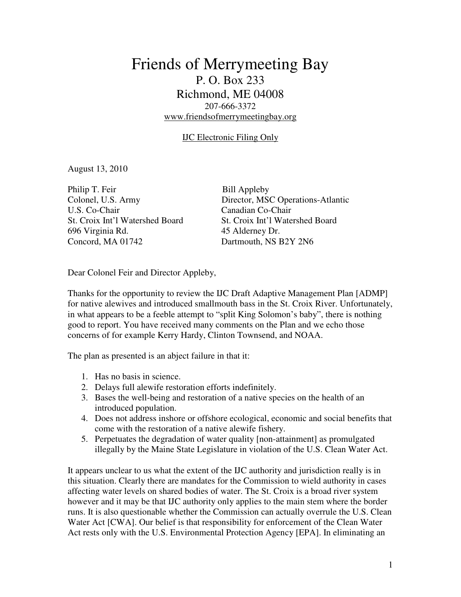# Friends of Merrymeeting Bay P. O. Box 233 Richmond, ME 04008 207-666-3372 www.friendsofmerrymeetingbay.org

### IJC Electronic Filing Only

August 13, 2010

Philip T. Feir Bill Appleby U.S. Co-Chair Canadian Co-Chair St. Croix Int'l Watershed Board St. Croix Int'l Watershed Board 696 Virginia Rd. 45 Alderney Dr. Concord, MA 01742 Dartmouth, NS B2Y 2N6

Colonel, U.S. Army Director, MSC Operations-Atlantic

Dear Colonel Feir and Director Appleby,

Thanks for the opportunity to review the IJC Draft Adaptive Management Plan [ADMP] for native alewives and introduced smallmouth bass in the St. Croix River. Unfortunately, in what appears to be a feeble attempt to "split King Solomon's baby", there is nothing good to report. You have received many comments on the Plan and we echo those concerns of for example Kerry Hardy, Clinton Townsend, and NOAA.

The plan as presented is an abject failure in that it:

- 1. Has no basis in science.
- 2. Delays full alewife restoration efforts indefinitely.
- 3. Bases the well-being and restoration of a native species on the health of an introduced population.
- 4. Does not address inshore or offshore ecological, economic and social benefits that come with the restoration of a native alewife fishery.
- 5. Perpetuates the degradation of water quality [non-attainment] as promulgated illegally by the Maine State Legislature in violation of the U.S. Clean Water Act.

It appears unclear to us what the extent of the IJC authority and jurisdiction really is in this situation. Clearly there are mandates for the Commission to wield authority in cases affecting water levels on shared bodies of water. The St. Croix is a broad river system however and it may be that IJC authority only applies to the main stem where the border runs. It is also questionable whether the Commission can actually overrule the U.S. Clean Water Act [CWA]. Our belief is that responsibility for enforcement of the Clean Water Act rests only with the U.S. Environmental Protection Agency [EPA]. In eliminating an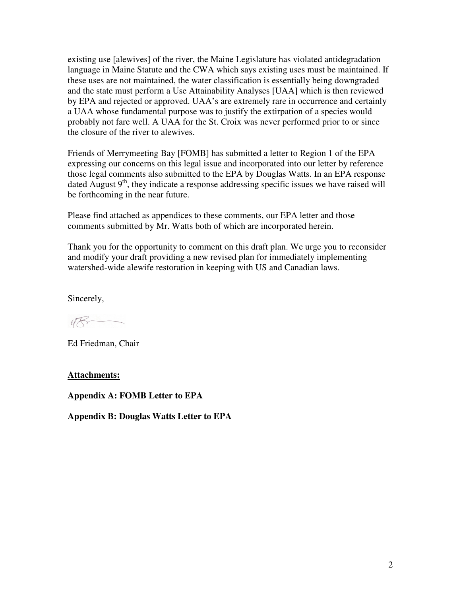existing use [alewives] of the river, the Maine Legislature has violated antidegradation language in Maine Statute and the CWA which says existing uses must be maintained. If these uses are not maintained, the water classification is essentially being downgraded and the state must perform a Use Attainability Analyses [UAA] which is then reviewed by EPA and rejected or approved. UAA's are extremely rare in occurrence and certainly a UAA whose fundamental purpose was to justify the extirpation of a species would probably not fare well. A UAA for the St. Croix was never performed prior to or since the closure of the river to alewives.

Friends of Merrymeeting Bay [FOMB] has submitted a letter to Region 1 of the EPA expressing our concerns on this legal issue and incorporated into our letter by reference those legal comments also submitted to the EPA by Douglas Watts. In an EPA response dated August  $9<sup>th</sup>$ , they indicate a response addressing specific issues we have raised will be forthcoming in the near future.

Please find attached as appendices to these comments, our EPA letter and those comments submitted by Mr. Watts both of which are incorporated herein.

Thank you for the opportunity to comment on this draft plan. We urge you to reconsider and modify your draft providing a new revised plan for immediately implementing watershed-wide alewife restoration in keeping with US and Canadian laws.

Sincerely,

Ed Friedman, Chair

**Attachments:**

**Appendix A: FOMB Letter to EPA** 

**Appendix B: Douglas Watts Letter to EPA**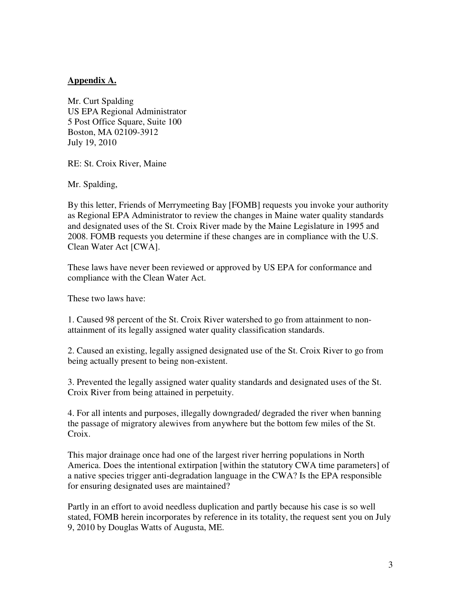### **Appendix A.**

Mr. Curt Spalding US EPA Regional Administrator 5 Post Office Square, Suite 100 Boston, MA 02109-3912 July 19, 2010

RE: St. Croix River, Maine

Mr. Spalding,

By this letter, Friends of Merrymeeting Bay [FOMB] requests you invoke your authority as Regional EPA Administrator to review the changes in Maine water quality standards and designated uses of the St. Croix River made by the Maine Legislature in 1995 and 2008. FOMB requests you determine if these changes are in compliance with the U.S. Clean Water Act [CWA].

These laws have never been reviewed or approved by US EPA for conformance and compliance with the Clean Water Act.

These two laws have:

1. Caused 98 percent of the St. Croix River watershed to go from attainment to nonattainment of its legally assigned water quality classification standards.

2. Caused an existing, legally assigned designated use of the St. Croix River to go from being actually present to being non-existent.

3. Prevented the legally assigned water quality standards and designated uses of the St. Croix River from being attained in perpetuity.

4. For all intents and purposes, illegally downgraded/ degraded the river when banning the passage of migratory alewives from anywhere but the bottom few miles of the St. Croix.

This major drainage once had one of the largest river herring populations in North America. Does the intentional extirpation [within the statutory CWA time parameters] of a native species trigger anti-degradation language in the CWA? Is the EPA responsible for ensuring designated uses are maintained?

Partly in an effort to avoid needless duplication and partly because his case is so well stated, FOMB herein incorporates by reference in its totality, the request sent you on July 9, 2010 by Douglas Watts of Augusta, ME.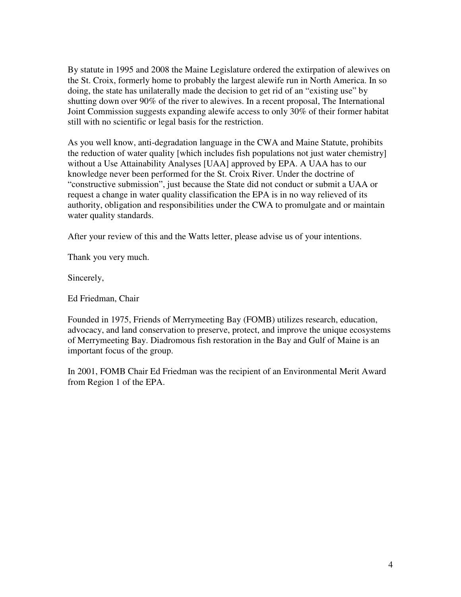By statute in 1995 and 2008 the Maine Legislature ordered the extirpation of alewives on the St. Croix, formerly home to probably the largest alewife run in North America. In so doing, the state has unilaterally made the decision to get rid of an "existing use" by shutting down over 90% of the river to alewives. In a recent proposal, The International Joint Commission suggests expanding alewife access to only 30% of their former habitat still with no scientific or legal basis for the restriction.

As you well know, anti-degradation language in the CWA and Maine Statute, prohibits the reduction of water quality [which includes fish populations not just water chemistry] without a Use Attainability Analyses [UAA] approved by EPA. A UAA has to our knowledge never been performed for the St. Croix River. Under the doctrine of "constructive submission", just because the State did not conduct or submit a UAA or request a change in water quality classification the EPA is in no way relieved of its authority, obligation and responsibilities under the CWA to promulgate and or maintain water quality standards.

After your review of this and the Watts letter, please advise us of your intentions.

Thank you very much.

Sincerely,

Ed Friedman, Chair

Founded in 1975, Friends of Merrymeeting Bay (FOMB) utilizes research, education, advocacy, and land conservation to preserve, protect, and improve the unique ecosystems of Merrymeeting Bay. Diadromous fish restoration in the Bay and Gulf of Maine is an important focus of the group.

In 2001, FOMB Chair Ed Friedman was the recipient of an Environmental Merit Award from Region 1 of the EPA.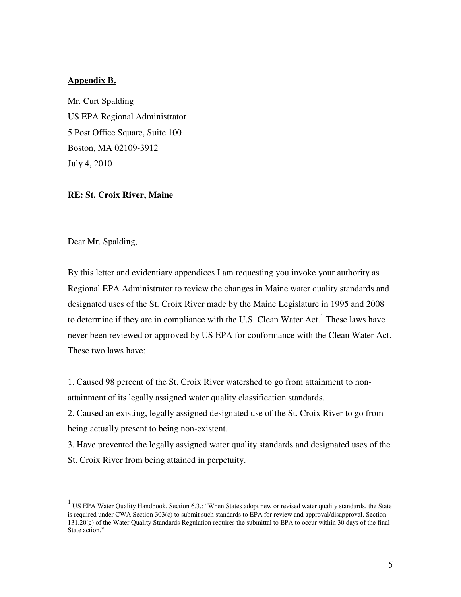### **Appendix B.**

Mr. Curt Spalding US EPA Regional Administrator 5 Post Office Square, Suite 100 Boston, MA 02109-3912 July 4, 2010

#### **RE: St. Croix River, Maine**

Dear Mr. Spalding,

By this letter and evidentiary appendices I am requesting you invoke your authority as Regional EPA Administrator to review the changes in Maine water quality standards and designated uses of the St. Croix River made by the Maine Legislature in 1995 and 2008 to determine if they are in compliance with the U.S. Clean Water Act.<sup>1</sup> These laws have never been reviewed or approved by US EPA for conformance with the Clean Water Act. These two laws have:

1. Caused 98 percent of the St. Croix River watershed to go from attainment to nonattainment of its legally assigned water quality classification standards.

2. Caused an existing, legally assigned designated use of the St. Croix River to go from being actually present to being non-existent.

3. Have prevented the legally assigned water quality standards and designated uses of the St. Croix River from being attained in perpetuity.

<sup>&</sup>lt;sup>1</sup> US EPA Water Quality Handbook, Section 6.3.: "When States adopt new or revised water quality standards, the State is required under CWA Section 303(c) to submit such standards to EPA for review and approval/disapproval. Section 131.20(c) of the Water Quality Standards Regulation requires the submittal to EPA to occur within 30 days of the final State action."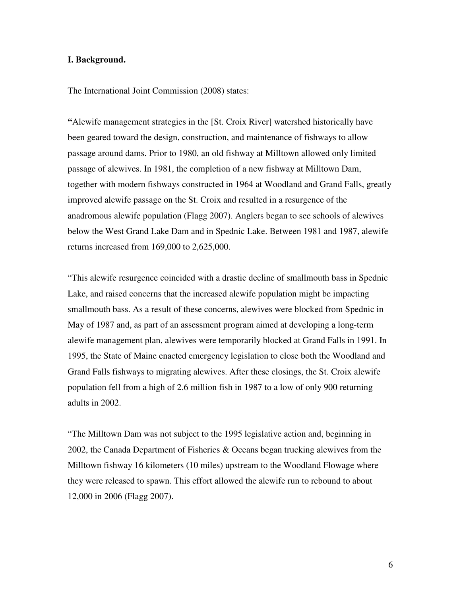#### **I. Background.**

The International Joint Commission (2008) states:

**"**Alewife management strategies in the [St. Croix River] watershed historically have been geared toward the design, construction, and maintenance of fishways to allow passage around dams. Prior to 1980, an old fishway at Milltown allowed only limited passage of alewives. In 1981, the completion of a new fishway at Milltown Dam, together with modern fishways constructed in 1964 at Woodland and Grand Falls, greatly improved alewife passage on the St. Croix and resulted in a resurgence of the anadromous alewife population (Flagg 2007). Anglers began to see schools of alewives below the West Grand Lake Dam and in Spednic Lake. Between 1981 and 1987, alewife returns increased from 169,000 to 2,625,000.

"This alewife resurgence coincided with a drastic decline of smallmouth bass in Spednic Lake, and raised concerns that the increased alewife population might be impacting smallmouth bass. As a result of these concerns, alewives were blocked from Spednic in May of 1987 and, as part of an assessment program aimed at developing a long-term alewife management plan, alewives were temporarily blocked at Grand Falls in 1991. In 1995, the State of Maine enacted emergency legislation to close both the Woodland and Grand Falls fishways to migrating alewives. After these closings, the St. Croix alewife population fell from a high of 2.6 million fish in 1987 to a low of only 900 returning adults in 2002.

"The Milltown Dam was not subject to the 1995 legislative action and, beginning in 2002, the Canada Department of Fisheries & Oceans began trucking alewives from the Milltown fishway 16 kilometers (10 miles) upstream to the Woodland Flowage where they were released to spawn. This effort allowed the alewife run to rebound to about 12,000 in 2006 (Flagg 2007).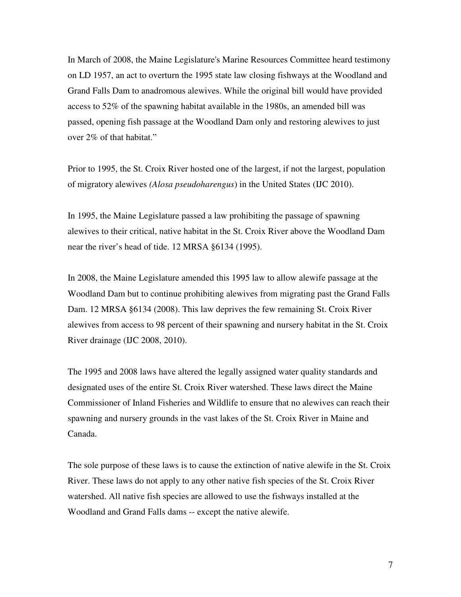In March of 2008, the Maine Legislature's Marine Resources Committee heard testimony on LD 1957, an act to overturn the 1995 state law closing fishways at the Woodland and Grand Falls Dam to anadromous alewives. While the original bill would have provided access to 52% of the spawning habitat available in the 1980s, an amended bill was passed, opening fish passage at the Woodland Dam only and restoring alewives to just over 2% of that habitat."

Prior to 1995, the St. Croix River hosted one of the largest, if not the largest, population of migratory alewives *(Alosa pseudoharengus*) in the United States (IJC 2010).

In 1995, the Maine Legislature passed a law prohibiting the passage of spawning alewives to their critical, native habitat in the St. Croix River above the Woodland Dam near the river's head of tide. 12 MRSA §6134 (1995).

In 2008, the Maine Legislature amended this 1995 law to allow alewife passage at the Woodland Dam but to continue prohibiting alewives from migrating past the Grand Falls Dam. 12 MRSA §6134 (2008). This law deprives the few remaining St. Croix River alewives from access to 98 percent of their spawning and nursery habitat in the St. Croix River drainage (IJC 2008, 2010).

The 1995 and 2008 laws have altered the legally assigned water quality standards and designated uses of the entire St. Croix River watershed. These laws direct the Maine Commissioner of Inland Fisheries and Wildlife to ensure that no alewives can reach their spawning and nursery grounds in the vast lakes of the St. Croix River in Maine and Canada.

The sole purpose of these laws is to cause the extinction of native alewife in the St. Croix River. These laws do not apply to any other native fish species of the St. Croix River watershed. All native fish species are allowed to use the fishways installed at the Woodland and Grand Falls dams -- except the native alewife.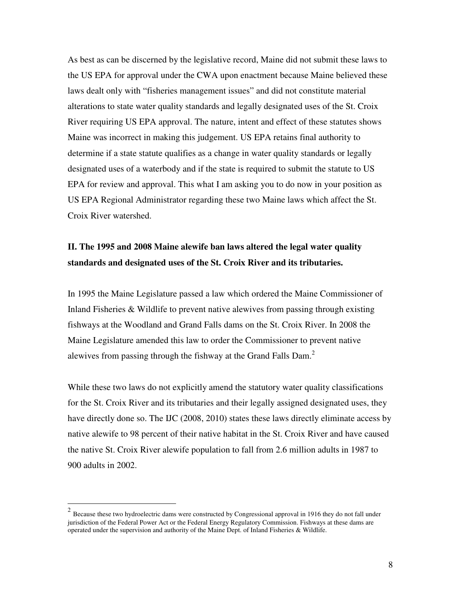As best as can be discerned by the legislative record, Maine did not submit these laws to the US EPA for approval under the CWA upon enactment because Maine believed these laws dealt only with "fisheries management issues" and did not constitute material alterations to state water quality standards and legally designated uses of the St. Croix River requiring US EPA approval. The nature, intent and effect of these statutes shows Maine was incorrect in making this judgement. US EPA retains final authority to determine if a state statute qualifies as a change in water quality standards or legally designated uses of a waterbody and if the state is required to submit the statute to US EPA for review and approval. This what I am asking you to do now in your position as US EPA Regional Administrator regarding these two Maine laws which affect the St. Croix River watershed.

## **II. The 1995 and 2008 Maine alewife ban laws altered the legal water quality standards and designated uses of the St. Croix River and its tributaries.**

In 1995 the Maine Legislature passed a law which ordered the Maine Commissioner of Inland Fisheries & Wildlife to prevent native alewives from passing through existing fishways at the Woodland and Grand Falls dams on the St. Croix River. In 2008 the Maine Legislature amended this law to order the Commissioner to prevent native alewives from passing through the fishway at the Grand Falls Dam.<sup>2</sup>

While these two laws do not explicitly amend the statutory water quality classifications for the St. Croix River and its tributaries and their legally assigned designated uses, they have directly done so. The IJC (2008, 2010) states these laws directly eliminate access by native alewife to 98 percent of their native habitat in the St. Croix River and have caused the native St. Croix River alewife population to fall from 2.6 million adults in 1987 to 900 adults in 2002.

 $\overline{a}$ 

 $2$  Because these two hydroelectric dams were constructed by Congressional approval in 1916 they do not fall under jurisdiction of the Federal Power Act or the Federal Energy Regulatory Commission. Fishways at these dams are operated under the supervision and authority of the Maine Dept. of Inland Fisheries & Wildlife.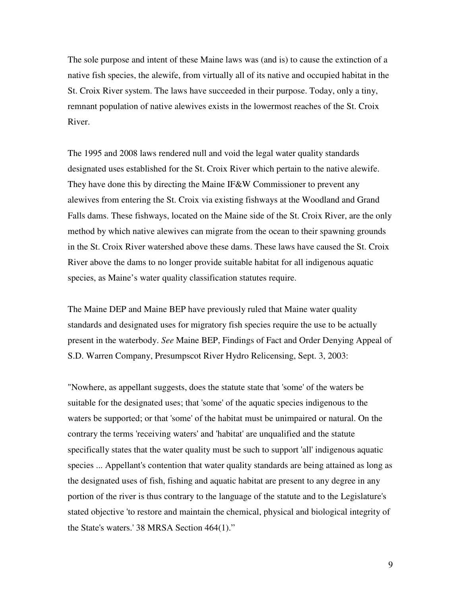The sole purpose and intent of these Maine laws was (and is) to cause the extinction of a native fish species, the alewife, from virtually all of its native and occupied habitat in the St. Croix River system. The laws have succeeded in their purpose. Today, only a tiny, remnant population of native alewives exists in the lowermost reaches of the St. Croix River.

The 1995 and 2008 laws rendered null and void the legal water quality standards designated uses established for the St. Croix River which pertain to the native alewife. They have done this by directing the Maine IF&W Commissioner to prevent any alewives from entering the St. Croix via existing fishways at the Woodland and Grand Falls dams. These fishways, located on the Maine side of the St. Croix River, are the only method by which native alewives can migrate from the ocean to their spawning grounds in the St. Croix River watershed above these dams. These laws have caused the St. Croix River above the dams to no longer provide suitable habitat for all indigenous aquatic species, as Maine's water quality classification statutes require.

The Maine DEP and Maine BEP have previously ruled that Maine water quality standards and designated uses for migratory fish species require the use to be actually present in the waterbody. *See* Maine BEP, Findings of Fact and Order Denying Appeal of S.D. Warren Company, Presumpscot River Hydro Relicensing, Sept. 3, 2003:

"Nowhere, as appellant suggests, does the statute state that 'some' of the waters be suitable for the designated uses; that 'some' of the aquatic species indigenous to the waters be supported; or that 'some' of the habitat must be unimpaired or natural. On the contrary the terms 'receiving waters' and 'habitat' are unqualified and the statute specifically states that the water quality must be such to support 'all' indigenous aquatic species ... Appellant's contention that water quality standards are being attained as long as the designated uses of fish, fishing and aquatic habitat are present to any degree in any portion of the river is thus contrary to the language of the statute and to the Legislature's stated objective 'to restore and maintain the chemical, physical and biological integrity of the State's waters.' 38 MRSA Section 464(1)."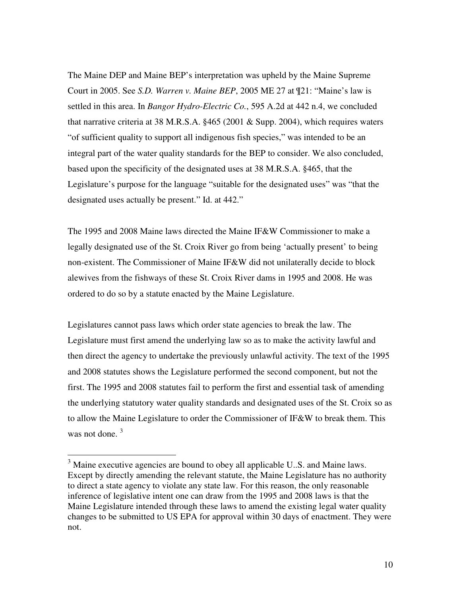The Maine DEP and Maine BEP's interpretation was upheld by the Maine Supreme Court in 2005. See *S.D. Warren v. Maine BEP*, 2005 ME 27 at ¶21: "Maine's law is settled in this area. In *Bangor Hydro-Electric Co.*, 595 A.2d at 442 n.4, we concluded that narrative criteria at 38 M.R.S.A. §465 (2001 & Supp. 2004), which requires waters "of sufficient quality to support all indigenous fish species," was intended to be an integral part of the water quality standards for the BEP to consider. We also concluded, based upon the specificity of the designated uses at 38 M.R.S.A. §465, that the Legislature's purpose for the language "suitable for the designated uses" was "that the designated uses actually be present." Id. at 442."

The 1995 and 2008 Maine laws directed the Maine IF&W Commissioner to make a legally designated use of the St. Croix River go from being 'actually present' to being non-existent. The Commissioner of Maine IF&W did not unilaterally decide to block alewives from the fishways of these St. Croix River dams in 1995 and 2008. He was ordered to do so by a statute enacted by the Maine Legislature.

Legislatures cannot pass laws which order state agencies to break the law. The Legislature must first amend the underlying law so as to make the activity lawful and then direct the agency to undertake the previously unlawful activity. The text of the 1995 and 2008 statutes shows the Legislature performed the second component, but not the first. The 1995 and 2008 statutes fail to perform the first and essential task of amending the underlying statutory water quality standards and designated uses of the St. Croix so as to allow the Maine Legislature to order the Commissioner of IF&W to break them. This was not done.  $3$ 

<sup>&</sup>lt;sup>3</sup> Maine executive agencies are bound to obey all applicable U.S. and Maine laws. Except by directly amending the relevant statute, the Maine Legislature has no authority to direct a state agency to violate any state law. For this reason, the only reasonable inference of legislative intent one can draw from the 1995 and 2008 laws is that the Maine Legislature intended through these laws to amend the existing legal water quality changes to be submitted to US EPA for approval within 30 days of enactment. They were not.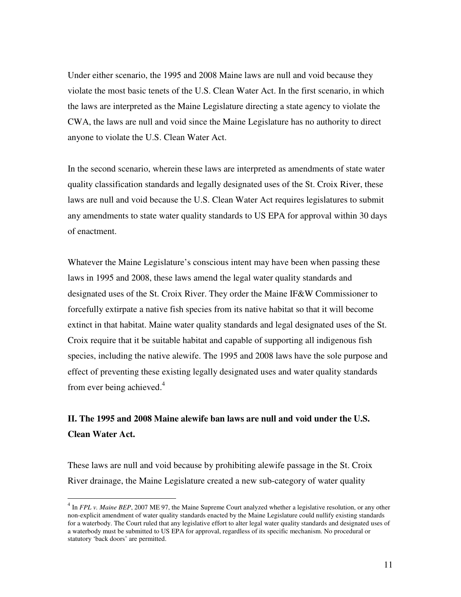Under either scenario, the 1995 and 2008 Maine laws are null and void because they violate the most basic tenets of the U.S. Clean Water Act. In the first scenario, in which the laws are interpreted as the Maine Legislature directing a state agency to violate the CWA, the laws are null and void since the Maine Legislature has no authority to direct anyone to violate the U.S. Clean Water Act.

In the second scenario, wherein these laws are interpreted as amendments of state water quality classification standards and legally designated uses of the St. Croix River, these laws are null and void because the U.S. Clean Water Act requires legislatures to submit any amendments to state water quality standards to US EPA for approval within 30 days of enactment.

Whatever the Maine Legislature's conscious intent may have been when passing these laws in 1995 and 2008, these laws amend the legal water quality standards and designated uses of the St. Croix River. They order the Maine IF&W Commissioner to forcefully extirpate a native fish species from its native habitat so that it will become extinct in that habitat. Maine water quality standards and legal designated uses of the St. Croix require that it be suitable habitat and capable of supporting all indigenous fish species, including the native alewife. The 1995 and 2008 laws have the sole purpose and effect of preventing these existing legally designated uses and water quality standards from ever being achieved.<sup>4</sup>

## **II. The 1995 and 2008 Maine alewife ban laws are null and void under the U.S. Clean Water Act.**

These laws are null and void because by prohibiting alewife passage in the St. Croix River drainage, the Maine Legislature created a new sub-category of water quality

 4 In *FPL v. Maine BEP*, 2007 ME 97, the Maine Supreme Court analyzed whether a legislative resolution, or any other non-explicit amendment of water quality standards enacted by the Maine Legislature could nullify existing standards for a waterbody. The Court ruled that any legislative effort to alter legal water quality standards and designated uses of a waterbody must be submitted to US EPA for approval, regardless of its specific mechanism. No procedural or statutory 'back doors' are permitted.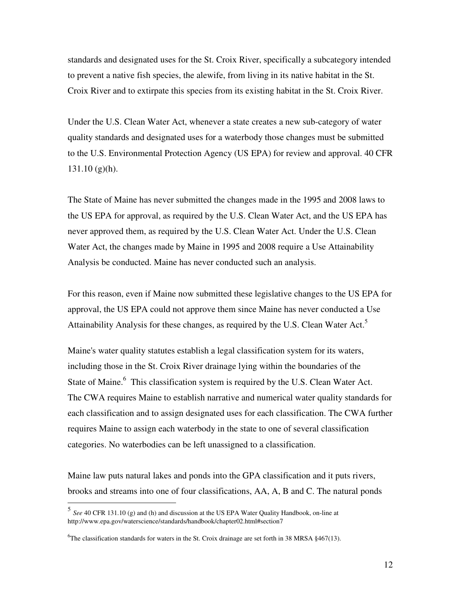standards and designated uses for the St. Croix River, specifically a subcategory intended to prevent a native fish species, the alewife, from living in its native habitat in the St. Croix River and to extirpate this species from its existing habitat in the St. Croix River.

Under the U.S. Clean Water Act, whenever a state creates a new sub-category of water quality standards and designated uses for a waterbody those changes must be submitted to the U.S. Environmental Protection Agency (US EPA) for review and approval. 40 CFR 131.10 (g)(h).

The State of Maine has never submitted the changes made in the 1995 and 2008 laws to the US EPA for approval, as required by the U.S. Clean Water Act, and the US EPA has never approved them, as required by the U.S. Clean Water Act. Under the U.S. Clean Water Act, the changes made by Maine in 1995 and 2008 require a Use Attainability Analysis be conducted. Maine has never conducted such an analysis.

For this reason, even if Maine now submitted these legislative changes to the US EPA for approval, the US EPA could not approve them since Maine has never conducted a Use Attainability Analysis for these changes, as required by the U.S. Clean Water Act.<sup>5</sup>

Maine's water quality statutes establish a legal classification system for its waters, including those in the St. Croix River drainage lying within the boundaries of the State of Maine.<sup>6</sup> This classification system is required by the U.S. Clean Water Act. The CWA requires Maine to establish narrative and numerical water quality standards for each classification and to assign designated uses for each classification. The CWA further requires Maine to assign each waterbody in the state to one of several classification categories. No waterbodies can be left unassigned to a classification.

Maine law puts natural lakes and ponds into the GPA classification and it puts rivers, brooks and streams into one of four classifications, AA, A, B and C. The natural ponds

 5 *See* 40 CFR 131.10 (g) and (h) and discussion at the US EPA Water Quality Handbook, on-line at http://www.epa.gov/waterscience/standards/handbook/chapter02.html#section7

<sup>&</sup>lt;sup>6</sup>The classification standards for waters in the St. Croix drainage are set forth in 38 MRSA  $§467(13)$ .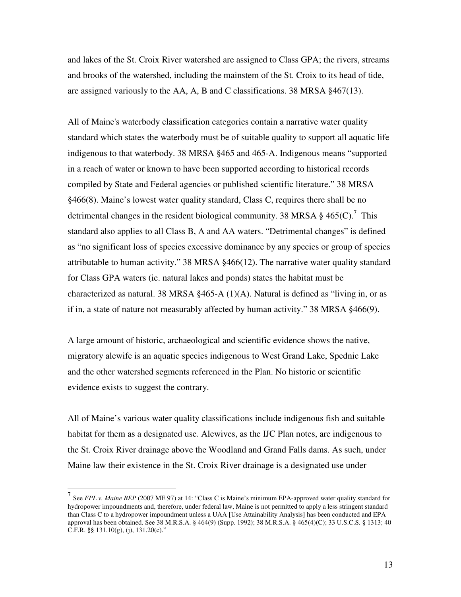and lakes of the St. Croix River watershed are assigned to Class GPA; the rivers, streams and brooks of the watershed, including the mainstem of the St. Croix to its head of tide, are assigned variously to the AA, A, B and C classifications. 38 MRSA §467(13).

All of Maine's waterbody classification categories contain a narrative water quality standard which states the waterbody must be of suitable quality to support all aquatic life indigenous to that waterbody. 38 MRSA §465 and 465-A. Indigenous means "supported in a reach of water or known to have been supported according to historical records compiled by State and Federal agencies or published scientific literature." 38 MRSA §466(8). Maine's lowest water quality standard, Class C, requires there shall be no detrimental changes in the resident biological community. 38 MRSA  $\S$  465(C).<sup>7</sup> This standard also applies to all Class B, A and AA waters. "Detrimental changes" is defined as "no significant loss of species excessive dominance by any species or group of species attributable to human activity." 38 MRSA §466(12). The narrative water quality standard for Class GPA waters (ie. natural lakes and ponds) states the habitat must be characterized as natural. 38 MRSA §465-A (1)(A). Natural is defined as "living in, or as if in, a state of nature not measurably affected by human activity." 38 MRSA §466(9).

A large amount of historic, archaeological and scientific evidence shows the native, migratory alewife is an aquatic species indigenous to West Grand Lake, Spednic Lake and the other watershed segments referenced in the Plan. No historic or scientific evidence exists to suggest the contrary.

All of Maine's various water quality classifications include indigenous fish and suitable habitat for them as a designated use. Alewives, as the IJC Plan notes, are indigenous to the St. Croix River drainage above the Woodland and Grand Falls dams. As such, under Maine law their existence in the St. Croix River drainage is a designated use under

 $\overline{a}$ 

<sup>7</sup> See *FPL v. Maine BEP* (2007 ME 97) at 14: "Class C is Maine's minimum EPA-approved water quality standard for hydropower impoundments and, therefore, under federal law, Maine is not permitted to apply a less stringent standard than Class C to a hydropower impoundment unless a UAA [Use Attainability Analysis] has been conducted and EPA approval has been obtained. See 38 M.R.S.A. § 464(9) (Supp. 1992); 38 M.R.S.A. § 465(4)(C); 33 U.S.C.S. § 1313; 40 C.F.R. §§  $131.10(g)$ , (j),  $131.20(c)$ ."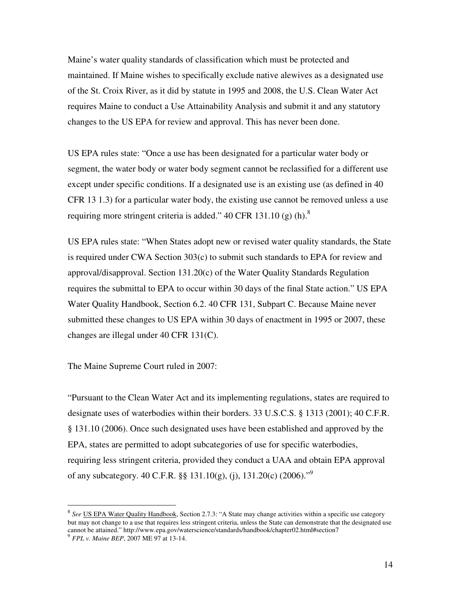Maine's water quality standards of classification which must be protected and maintained. If Maine wishes to specifically exclude native alewives as a designated use of the St. Croix River, as it did by statute in 1995 and 2008, the U.S. Clean Water Act requires Maine to conduct a Use Attainability Analysis and submit it and any statutory changes to the US EPA for review and approval. This has never been done.

US EPA rules state: "Once a use has been designated for a particular water body or segment, the water body or water body segment cannot be reclassified for a different use except under specific conditions. If a designated use is an existing use (as defined in 40 CFR 13 1.3) for a particular water body, the existing use cannot be removed unless a use requiring more stringent criteria is added."  $40 \text{ CFR } 131.10 \text{ (g) (h)}^8$ 

US EPA rules state: "When States adopt new or revised water quality standards, the State is required under CWA Section 303(c) to submit such standards to EPA for review and approval/disapproval. Section 131.20(c) of the Water Quality Standards Regulation requires the submittal to EPA to occur within 30 days of the final State action." US EPA Water Quality Handbook, Section 6.2. 40 CFR 131, Subpart C. Because Maine never submitted these changes to US EPA within 30 days of enactment in 1995 or 2007, these changes are illegal under 40 CFR 131(C).

The Maine Supreme Court ruled in 2007:

"Pursuant to the Clean Water Act and its implementing regulations, states are required to designate uses of waterbodies within their borders. 33 U.S.C.S. § 1313 (2001); 40 C.F.R. § 131.10 (2006). Once such designated uses have been established and approved by the EPA, states are permitted to adopt subcategories of use for specific waterbodies, requiring less stringent criteria, provided they conduct a UAA and obtain EPA approval of any subcategory. 40 C.F.R. §§ 131.10(g), (j), 131.20(c) (2006)."<sup>9</sup>

 8 *See* US EPA Water Quality Handbook, Section 2.7.3: "A State may change activities within a specific use category but may not change to a use that requires less stringent criteria, unless the State can demonstrate that the designated use cannot be attained." http://www.epa.gov/waterscience/standards/handbook/chapter02.html#section7 9 *FPL v. Maine BEP*, 2007 ME 97 at 13-14.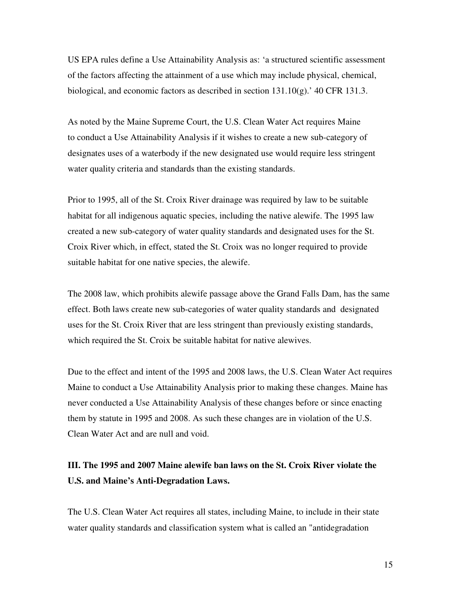US EPA rules define a Use Attainability Analysis as: 'a structured scientific assessment of the factors affecting the attainment of a use which may include physical, chemical, biological, and economic factors as described in section  $131.10(g)$ . 40 CFR 131.3.

As noted by the Maine Supreme Court, the U.S. Clean Water Act requires Maine to conduct a Use Attainability Analysis if it wishes to create a new sub-category of designates uses of a waterbody if the new designated use would require less stringent water quality criteria and standards than the existing standards.

Prior to 1995, all of the St. Croix River drainage was required by law to be suitable habitat for all indigenous aquatic species, including the native alewife. The 1995 law created a new sub-category of water quality standards and designated uses for the St. Croix River which, in effect, stated the St. Croix was no longer required to provide suitable habitat for one native species, the alewife.

The 2008 law, which prohibits alewife passage above the Grand Falls Dam, has the same effect. Both laws create new sub-categories of water quality standards and designated uses for the St. Croix River that are less stringent than previously existing standards, which required the St. Croix be suitable habitat for native alewives.

Due to the effect and intent of the 1995 and 2008 laws, the U.S. Clean Water Act requires Maine to conduct a Use Attainability Analysis prior to making these changes. Maine has never conducted a Use Attainability Analysis of these changes before or since enacting them by statute in 1995 and 2008. As such these changes are in violation of the U.S. Clean Water Act and are null and void.

## **III. The 1995 and 2007 Maine alewife ban laws on the St. Croix River violate the U.S. and Maine's Anti-Degradation Laws.**

The U.S. Clean Water Act requires all states, including Maine, to include in their state water quality standards and classification system what is called an "antidegradation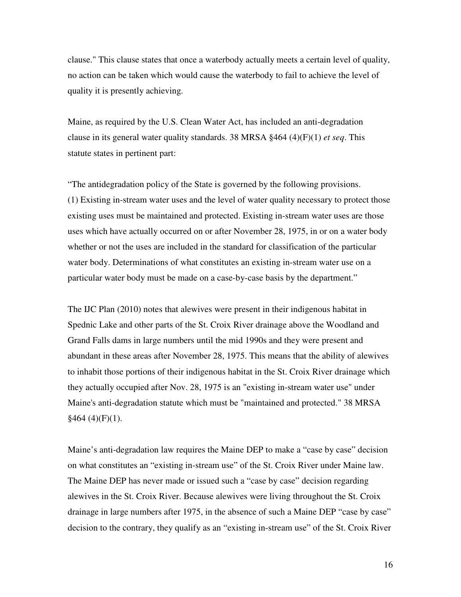clause." This clause states that once a waterbody actually meets a certain level of quality, no action can be taken which would cause the waterbody to fail to achieve the level of quality it is presently achieving.

Maine, as required by the U.S. Clean Water Act, has included an anti-degradation clause in its general water quality standards. 38 MRSA §464 (4)(F)(1) *et seq*. This statute states in pertinent part:

"The antidegradation policy of the State is governed by the following provisions. (1) Existing in-stream water uses and the level of water quality necessary to protect those existing uses must be maintained and protected. Existing in-stream water uses are those uses which have actually occurred on or after November 28, 1975, in or on a water body whether or not the uses are included in the standard for classification of the particular water body. Determinations of what constitutes an existing in-stream water use on a particular water body must be made on a case-by-case basis by the department."

The IJC Plan (2010) notes that alewives were present in their indigenous habitat in Spednic Lake and other parts of the St. Croix River drainage above the Woodland and Grand Falls dams in large numbers until the mid 1990s and they were present and abundant in these areas after November 28, 1975. This means that the ability of alewives to inhabit those portions of their indigenous habitat in the St. Croix River drainage which they actually occupied after Nov. 28, 1975 is an "existing in-stream water use" under Maine's anti-degradation statute which must be "maintained and protected." 38 MRSA  $§464(4)(F)(1).$ 

Maine's anti-degradation law requires the Maine DEP to make a "case by case" decision on what constitutes an "existing in-stream use" of the St. Croix River under Maine law. The Maine DEP has never made or issued such a "case by case" decision regarding alewives in the St. Croix River. Because alewives were living throughout the St. Croix drainage in large numbers after 1975, in the absence of such a Maine DEP "case by case" decision to the contrary, they qualify as an "existing in-stream use" of the St. Croix River

16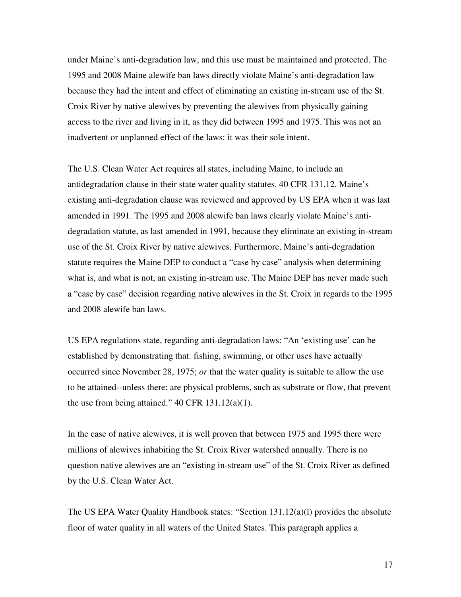under Maine's anti-degradation law, and this use must be maintained and protected. The 1995 and 2008 Maine alewife ban laws directly violate Maine's anti-degradation law because they had the intent and effect of eliminating an existing in-stream use of the St. Croix River by native alewives by preventing the alewives from physically gaining access to the river and living in it, as they did between 1995 and 1975. This was not an inadvertent or unplanned effect of the laws: it was their sole intent.

The U.S. Clean Water Act requires all states, including Maine, to include an antidegradation clause in their state water quality statutes. 40 CFR 131.12. Maine's existing anti-degradation clause was reviewed and approved by US EPA when it was last amended in 1991. The 1995 and 2008 alewife ban laws clearly violate Maine's antidegradation statute, as last amended in 1991, because they eliminate an existing in-stream use of the St. Croix River by native alewives. Furthermore, Maine's anti-degradation statute requires the Maine DEP to conduct a "case by case" analysis when determining what is, and what is not, an existing in-stream use. The Maine DEP has never made such a "case by case" decision regarding native alewives in the St. Croix in regards to the 1995 and 2008 alewife ban laws.

US EPA regulations state, regarding anti-degradation laws: "An 'existing use' can be established by demonstrating that: fishing, swimming, or other uses have actually occurred since November 28, 1975; *or* that the water quality is suitable to allow the use to be attained--unless there: are physical problems, such as substrate or flow, that prevent the use from being attained."  $40$  CFR  $131.12(a)(1)$ .

In the case of native alewives, it is well proven that between 1975 and 1995 there were millions of alewives inhabiting the St. Croix River watershed annually. There is no question native alewives are an "existing in-stream use" of the St. Croix River as defined by the U.S. Clean Water Act.

The US EPA Water Quality Handbook states: "Section 131.12(a)(l) provides the absolute floor of water quality in all waters of the United States. This paragraph applies a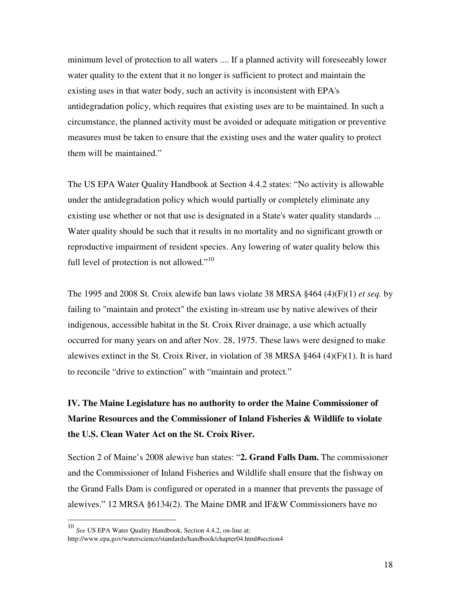minimum level of protection to all waters .... If a planned activity will foreseeably lower water quality to the extent that it no longer is sufficient to protect and maintain the existing uses in that water body, such an activity is inconsistent with EPA's antidegradation policy, which requires that existing uses are to be maintained. In such a circumstance, the planned activity must be avoided or adequate mitigation or preventive measures must be taken to ensure that the existing uses and the water quality to protect them will be maintained."

The US EPA Water Quality Handbook at Section 4.4.2 states: "No activity is allowable under the antidegradation policy which would partially or completely eliminate any existing use whether or not that use is designated in a State's water quality standards ... Water quality should be such that it results in no mortality and no significant growth or reproductive impairment of resident species. Any lowering of water quality below this full level of protection is not allowed."<sup>10</sup>

The 1995 and 2008 St. Croix alewife ban laws violate 38 MRSA §464 (4)(F)(1) *et seq.* by failing to "maintain and protect" the existing in-stream use by native alewives of their indigenous, accessible habitat in the St. Croix River drainage, a use which actually occurred for many years on and after Nov. 28, 1975. These laws were designed to make alewives extinct in the St. Croix River, in violation of 38 MRSA §464 (4)(F)(1). It is hard to reconcile "drive to extinction" with "maintain and protect."

# **IV. The Maine Legislature has no authority to order the Maine Commissioner of Marine Resources and the Commissioner of Inland Fisheries & Wildlife to violate the U.S. Clean Water Act on the St. Croix River.**

Section 2 of Maine's 2008 alewive ban states: "**2. Grand Falls Dam.** The commissioner and the Commissioner of Inland Fisheries and Wildlife shall ensure that the fishway on the Grand Falls Dam is configured or operated in a manner that prevents the passage of alewives." 12 MRSA §6134(2). The Maine DMR and IF&W Commissioners have no

 $\overline{a}$ 

<sup>10</sup> *See* US EPA Water Quality Handbook, Section 4.4.2, on-line at: http://www.epa.gov/waterscience/standards/handbook/chapter04.html#section4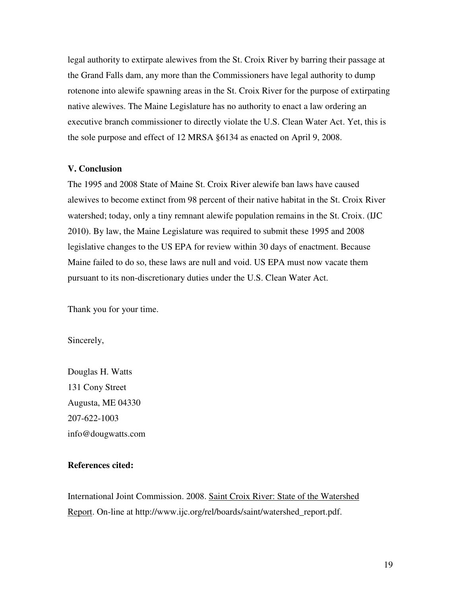legal authority to extirpate alewives from the St. Croix River by barring their passage at the Grand Falls dam, any more than the Commissioners have legal authority to dump rotenone into alewife spawning areas in the St. Croix River for the purpose of extirpating native alewives. The Maine Legislature has no authority to enact a law ordering an executive branch commissioner to directly violate the U.S. Clean Water Act. Yet, this is the sole purpose and effect of 12 MRSA §6134 as enacted on April 9, 2008.

#### **V. Conclusion**

The 1995 and 2008 State of Maine St. Croix River alewife ban laws have caused alewives to become extinct from 98 percent of their native habitat in the St. Croix River watershed; today, only a tiny remnant alewife population remains in the St. Croix. (IJC 2010). By law, the Maine Legislature was required to submit these 1995 and 2008 legislative changes to the US EPA for review within 30 days of enactment. Because Maine failed to do so, these laws are null and void. US EPA must now vacate them pursuant to its non-discretionary duties under the U.S. Clean Water Act.

Thank you for your time.

Sincerely,

Douglas H. Watts 131 Cony Street Augusta, ME 04330 207-622-1003 info@dougwatts.com

### **References cited:**

International Joint Commission. 2008. Saint Croix River: State of the Watershed Report. On-line at http://www.ijc.org/rel/boards/saint/watershed\_report.pdf.